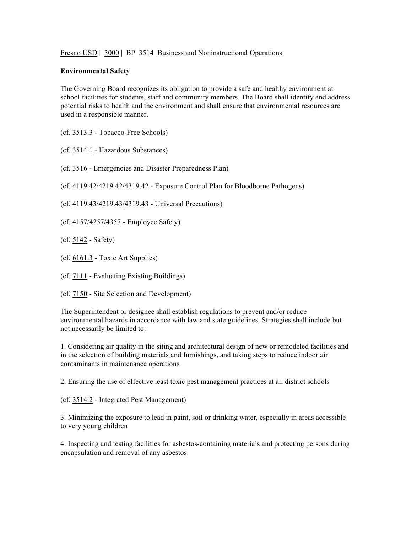Fresno USD | 3000 | BP 3514 Business and Noninstructional Operations

## **Environmental Safety**

The Governing Board recognizes its obligation to provide a safe and healthy environment at school facilities for students, staff and community members. The Board shall identify and address potential risks to health and the environment and shall ensure that environmental resources are used in a responsible manner.

(cf. 3513.3 - Tobacco-Free Schools)

(cf. 3514.1 - Hazardous Substances)

(cf. 3516 - Emergencies and Disaster Preparedness Plan)

(cf. 4119.42/4219.42/4319.42 - Exposure Control Plan for Bloodborne Pathogens)

(cf. 4119.43/4219.43/4319.43 - Universal Precautions)

(cf. 4157/4257/4357 - Employee Safety)

(cf. 5142 - Safety)

(cf. 6161.3 - Toxic Art Supplies)

(cf. 7111 - Evaluating Existing Buildings)

(cf. 7150 - Site Selection and Development)

The Superintendent or designee shall establish regulations to prevent and/or reduce environmental hazards in accordance with law and state guidelines. Strategies shall include but not necessarily be limited to:

1. Considering air quality in the siting and architectural design of new or remodeled facilities and in the selection of building materials and furnishings, and taking steps to reduce indoor air contaminants in maintenance operations

2. Ensuring the use of effective least toxic pest management practices at all district schools

(cf. 3514.2 - Integrated Pest Management)

3. Minimizing the exposure to lead in paint, soil or drinking water, especially in areas accessible to very young children

4. Inspecting and testing facilities for asbestos-containing materials and protecting persons during encapsulation and removal of any asbestos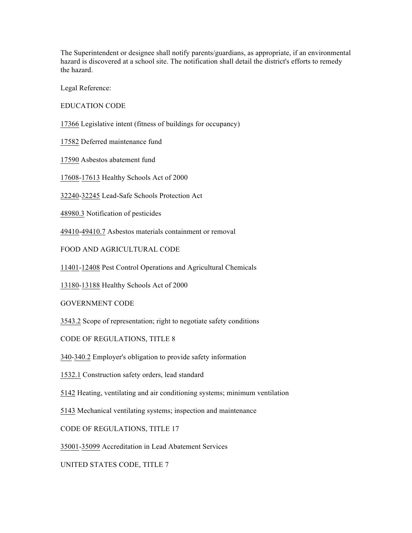The Superintendent or designee shall notify parents/guardians, as appropriate, if an environmental hazard is discovered at a school site. The notification shall detail the district's efforts to remedy the hazard.

Legal Reference:

EDUCATION CODE

17366 Legislative intent (fitness of buildings for occupancy)

17582 Deferred maintenance fund

17590 Asbestos abatement fund

17608-17613 Healthy Schools Act of 2000

32240-32245 Lead-Safe Schools Protection Act

48980.3 Notification of pesticides

49410-49410.7 Asbestos materials containment or removal

FOOD AND AGRICULTURAL CODE

11401-12408 Pest Control Operations and Agricultural Chemicals

13180-13188 Healthy Schools Act of 2000

GOVERNMENT CODE

3543.2 Scope of representation; right to negotiate safety conditions

CODE OF REGULATIONS, TITLE 8

340-340.2 Employer's obligation to provide safety information

1532.1 Construction safety orders, lead standard

5142 Heating, ventilating and air conditioning systems; minimum ventilation

5143 Mechanical ventilating systems; inspection and maintenance

CODE OF REGULATIONS, TITLE 17

35001-35099 Accreditation in Lead Abatement Services

UNITED STATES CODE, TITLE 7